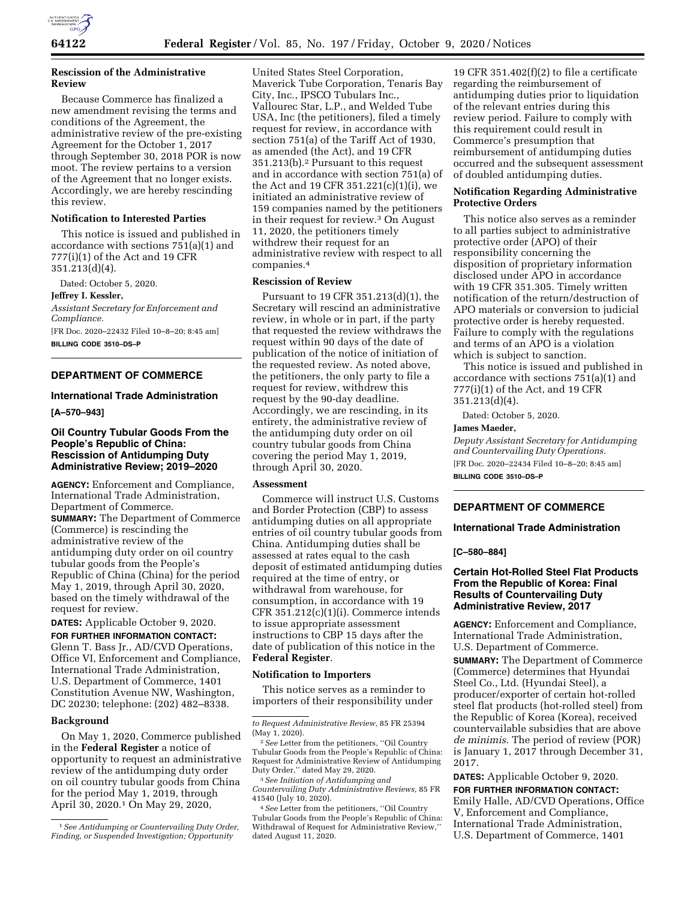

## **Rescission of the Administrative Review**

Because Commerce has finalized a new amendment revising the terms and conditions of the Agreement, the administrative review of the pre-existing Agreement for the October 1, 2017 through September 30, 2018 POR is now moot. The review pertains to a version of the Agreement that no longer exists. Accordingly, we are hereby rescinding this review.

### **Notification to Interested Parties**

This notice is issued and published in accordance with sections 751(a)(1) and 777(i)(1) of the Act and 19 CFR 351.213(d)(4).

Dated: October 5, 2020.

**Jeffrey I. Kessler,** 

*Assistant Secretary for Enforcement and Compliance.* 

[FR Doc. 2020–22432 Filed 10–8–20; 8:45 am] **BILLING CODE 3510–DS–P** 

# **DEPARTMENT OF COMMERCE**

#### **International Trade Administration**

**[A–570–943]** 

## **Oil Country Tubular Goods From the People's Republic of China: Rescission of Antidumping Duty Administrative Review; 2019–2020**

**AGENCY:** Enforcement and Compliance, International Trade Administration, Department of Commerce. **SUMMARY:** The Department of Commerce (Commerce) is rescinding the administrative review of the antidumping duty order on oil country tubular goods from the People's Republic of China (China) for the period May 1, 2019, through April 30, 2020, based on the timely withdrawal of the request for review.

**DATES:** Applicable October 9, 2020.

**FOR FURTHER INFORMATION CONTACT:**  Glenn T. Bass Jr., AD/CVD Operations, Office VI, Enforcement and Compliance, International Trade Administration, U.S. Department of Commerce, 1401 Constitution Avenue NW, Washington, DC 20230; telephone: (202) 482–8338.

### **Background**

On May 1, 2020, Commerce published in the **Federal Register** a notice of opportunity to request an administrative review of the antidumping duty order on oil country tubular goods from China for the period May 1, 2019, through April 30, 2020.1 On May 29, 2020,

United States Steel Corporation, Maverick Tube Corporation, Tenaris Bay City, Inc., IPSCO Tubulars Inc., Vallourec Star, L.P., and Welded Tube USA, Inc (the petitioners), filed a timely request for review, in accordance with section 751(a) of the Tariff Act of 1930, as amended (the Act), and 19 CFR 351.213(b).2 Pursuant to this request and in accordance with section 751(a) of the Act and 19 CFR 351.221(c)(1)(i), we initiated an administrative review of 159 companies named by the petitioners in their request for review.3 On August 11, 2020, the petitioners timely withdrew their request for an administrative review with respect to all companies.4

## **Rescission of Review**

Pursuant to 19 CFR 351.213(d)(1), the Secretary will rescind an administrative review, in whole or in part, if the party that requested the review withdraws the request within 90 days of the date of publication of the notice of initiation of the requested review. As noted above, the petitioners, the only party to file a request for review, withdrew this request by the 90-day deadline. Accordingly, we are rescinding, in its entirety, the administrative review of the antidumping duty order on oil country tubular goods from China covering the period May 1, 2019, through April 30, 2020.

#### **Assessment**

Commerce will instruct U.S. Customs and Border Protection (CBP) to assess antidumping duties on all appropriate entries of oil country tubular goods from China. Antidumping duties shall be assessed at rates equal to the cash deposit of estimated antidumping duties required at the time of entry, or withdrawal from warehouse, for consumption, in accordance with 19 CFR 351.212(c)(1)(i). Commerce intends to issue appropriate assessment instructions to CBP 15 days after the date of publication of this notice in the **Federal Register**.

#### **Notification to Importers**

This notice serves as a reminder to importers of their responsibility under

3*See Initiation of Antidumping and Countervailing Duty Administrative Reviews,* 85 FR 41540 (July 10, 2020).

4*See* Letter from the petitioners, ''Oil Country Tubular Goods from the People's Republic of China: Withdrawal of Request for Administrative Review,'' dated August 11, 2020.

19 CFR 351.402 $(f)(2)$  to file a certificate regarding the reimbursement of antidumping duties prior to liquidation of the relevant entries during this review period. Failure to comply with this requirement could result in Commerce's presumption that reimbursement of antidumping duties occurred and the subsequent assessment of doubled antidumping duties.

## **Notification Regarding Administrative Protective Orders**

This notice also serves as a reminder to all parties subject to administrative protective order (APO) of their responsibility concerning the disposition of proprietary information disclosed under APO in accordance with 19 CFR 351.305. Timely written notification of the return/destruction of APO materials or conversion to judicial protective order is hereby requested. Failure to comply with the regulations and terms of an APO is a violation which is subject to sanction.

This notice is issued and published in accordance with sections 751(a)(1) and 777(i)(1) of the Act, and 19 CFR 351.213(d)(4).

Dated: October 5, 2020.

## **James Maeder,**

*Deputy Assistant Secretary for Antidumping and Countervailing Duty Operations.*  [FR Doc. 2020–22434 Filed 10–8–20; 8:45 am] **BILLING CODE 3510–DS–P** 

## **DEPARTMENT OF COMMERCE**

### **International Trade Administration**

## **[C–580–884]**

## **Certain Hot-Rolled Steel Flat Products From the Republic of Korea: Final Results of Countervailing Duty Administrative Review, 2017**

**AGENCY:** Enforcement and Compliance, International Trade Administration, U.S. Department of Commerce.

**SUMMARY:** The Department of Commerce (Commerce) determines that Hyundai Steel Co., Ltd. (Hyundai Steel), a producer/exporter of certain hot-rolled steel flat products (hot-rolled steel) from the Republic of Korea (Korea), received countervailable subsidies that are above *de minimis.* The period of review (POR) is January 1, 2017 through December 31, 2017.

**DATES:** Applicable October 9, 2020.

**FOR FURTHER INFORMATION CONTACT:**  Emily Halle, AD/CVD Operations, Office V, Enforcement and Compliance, International Trade Administration, U.S. Department of Commerce, 1401

<sup>1</sup>*See Antidumping or Countervailing Duty Order, Finding, or Suspended Investigation; Opportunity* 

*to Request Administrative Review,* 85 FR 25394 (May 1, 2020).

<sup>2</sup>*See* Letter from the petitioners, ''Oil Country Tubular Goods from the People's Republic of China: Request for Administrative Review of Antidumping Duty Order,'' dated May 29, 2020.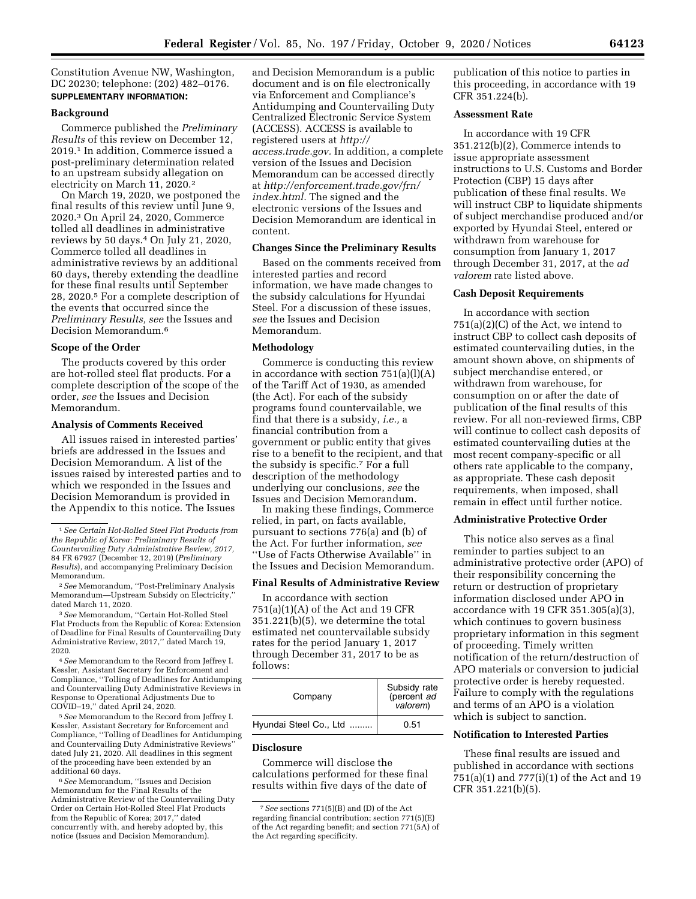Constitution Avenue NW, Washington, DC 20230; telephone: (202) 482–0176. **SUPPLEMENTARY INFORMATION:** 

### **Background**

Commerce published the *Preliminary Results* of this review on December 12, 2019.1 In addition, Commerce issued a post-preliminary determination related to an upstream subsidy allegation on electricity on March 11, 2020.2

On March 19, 2020, we postponed the final results of this review until June 9, 2020.3 On April 24, 2020, Commerce tolled all deadlines in administrative reviews by 50 days.4 On July 21, 2020, Commerce tolled all deadlines in administrative reviews by an additional 60 days, thereby extending the deadline for these final results until September 28, 2020.5 For a complete description of the events that occurred since the *Preliminary Results, see* the Issues and Decision Memorandum.6

## **Scope of the Order**

The products covered by this order are hot-rolled steel flat products. For a complete description of the scope of the order, *see* the Issues and Decision Memorandum.

#### **Analysis of Comments Received**

All issues raised in interested parties' briefs are addressed in the Issues and Decision Memorandum. A list of the issues raised by interested parties and to which we responded in the Issues and Decision Memorandum is provided in the Appendix to this notice. The Issues

3*See* Memorandum, ''Certain Hot-Rolled Steel Flat Products from the Republic of Korea: Extension of Deadline for Final Results of Countervailing Duty Administrative Review, 2017,'' dated March 19, 2020.

4*See* Memorandum to the Record from Jeffrey I. Kessler, Assistant Secretary for Enforcement and Compliance, ''Tolling of Deadlines for Antidumping and Countervailing Duty Administrative Reviews in Response to Operational Adjustments Due to COVID–19,'' dated April 24, 2020.

5*See* Memorandum to the Record from Jeffrey I. Kessler, Assistant Secretary for Enforcement and Compliance, ''Tolling of Deadlines for Antidumping and Countervailing Duty Administrative Reviews'' dated July 21, 2020. All deadlines in this segment of the proceeding have been extended by an additional 60 days.

6*See* Memorandum, ''Issues and Decision Memorandum for the Final Results of the Administrative Review of the Countervailing Duty Order on Certain Hot-Rolled Steel Flat Products from the Republic of Korea; 2017,'' dated concurrently with, and hereby adopted by, this notice (Issues and Decision Memorandum).

and Decision Memorandum is a public document and is on file electronically via Enforcement and Compliance's Antidumping and Countervailing Duty Centralized Electronic Service System (ACCESS). ACCESS is available to registered users at *[http://](http://access.trade.gov) [access.trade.gov.](http://access.trade.gov)* In addition, a complete version of the Issues and Decision Memorandum can be accessed directly at *[http://enforcement.trade.gov/frn/](http://enforcement.trade.gov/frn/index.html)  [index.html.](http://enforcement.trade.gov/frn/index.html)* The signed and the electronic versions of the Issues and Decision Memorandum are identical in content.

## **Changes Since the Preliminary Results**

Based on the comments received from interested parties and record information, we have made changes to the subsidy calculations for Hyundai Steel. For a discussion of these issues, *see* the Issues and Decision Memorandum.

### **Methodology**

Commerce is conducting this review in accordance with section 751(a)(l)(A) of the Tariff Act of 1930, as amended (the Act). For each of the subsidy programs found countervailable, we find that there is a subsidy, *i.e.,* a financial contribution from a government or public entity that gives rise to a benefit to the recipient, and that the subsidy is specific.7 For a full description of the methodology underlying our conclusions, *see* the Issues and Decision Memorandum.

In making these findings, Commerce relied, in part, on facts available, pursuant to sections 776(a) and (b) of the Act. For further information, *see*  ''Use of Facts Otherwise Available'' in the Issues and Decision Memorandum.

### **Final Results of Administrative Review**

In accordance with section 751(a)(1)(A) of the Act and 19 CFR 351.221(b)(5), we determine the total estimated net countervailable subsidy rates for the period January 1, 2017 through December 31, 2017 to be as follows:

| Company                | Subsidy rate<br>(percent ad<br>valorem) |
|------------------------|-----------------------------------------|
| Hyundai Steel Co., Ltd | 0.51                                    |

### **Disclosure**

Commerce will disclose the calculations performed for these final results within five days of the date of

publication of this notice to parties in this proceeding, in accordance with 19 CFR 351.224(b).

## **Assessment Rate**

In accordance with 19 CFR 351.212(b)(2), Commerce intends to issue appropriate assessment instructions to U.S. Customs and Border Protection (CBP) 15 days after publication of these final results. We will instruct CBP to liquidate shipments of subject merchandise produced and/or exported by Hyundai Steel, entered or withdrawn from warehouse for consumption from January 1, 2017 through December 31, 2017, at the *ad valorem* rate listed above.

## **Cash Deposit Requirements**

In accordance with section 751(a)(2)(C) of the Act, we intend to instruct CBP to collect cash deposits of estimated countervailing duties, in the amount shown above, on shipments of subject merchandise entered, or withdrawn from warehouse, for consumption on or after the date of publication of the final results of this review. For all non-reviewed firms, CBP will continue to collect cash deposits of estimated countervailing duties at the most recent company-specific or all others rate applicable to the company, as appropriate. These cash deposit requirements, when imposed, shall remain in effect until further notice.

## **Administrative Protective Order**

This notice also serves as a final reminder to parties subject to an administrative protective order (APO) of their responsibility concerning the return or destruction of proprietary information disclosed under APO in accordance with 19 CFR 351.305(a)(3), which continues to govern business proprietary information in this segment of proceeding. Timely written notification of the return/destruction of APO materials or conversion to judicial protective order is hereby requested. Failure to comply with the regulations and terms of an APO is a violation which is subject to sanction.

## **Notification to Interested Parties**

These final results are issued and published in accordance with sections 751(a)(1) and 777(i)(1) of the Act and 19 CFR 351.221(b)(5).

<sup>1</sup>*See Certain Hot-Rolled Steel Flat Products from the Republic of Korea: Preliminary Results of Countervailing Duty Administrative Review, 2017,*  84 FR 67927 (December 12, 2019) (*Preliminary Results*), and accompanying Preliminary Decision Memorandum.

<sup>2</sup>*See* Memorandum, ''Post-Preliminary Analysis Memorandum—Upstream Subsidy on Electricity,'' dated March 11, 2020.

<sup>7</sup>*See* sections 771(5)(B) and (D) of the Act regarding financial contribution; section 771(5)(E) of the Act regarding benefit; and section 771(5A) of the Act regarding specificity.